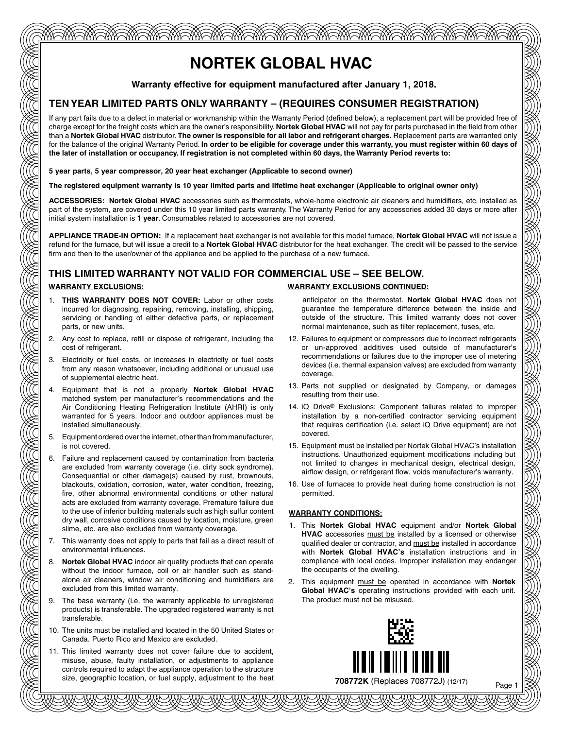# **NORTEK GLOBAL HVAC**

<u>MASA MAMBA MAMBA MANG MANG MANG MASA MGA MG</u>

**Warranty effective for equipment manufactured after January 1, 2018.**

### **TEN YEAR LIMITED PARTS ONLY WARRANTY – (REQUIRES CONSUMER REGISTRATION)**

If any part fails due to a defect in material or workmanship within the Warranty Period (defined below), a replacement part will be provided free of charge except for the freight costs which are the owner's responsibility. **Nortek Global HVAC** will not pay for parts purchased in the field from other than a **Nortek Global HVAC** distributor. **The owner is responsible for all labor and refrigerant charges.** Replacement parts are warranted only for the balance of the original Warranty Period. **In order to be eligible for coverage under this warranty, you must register within 60 days of the later of installation or occupancy. If registration is not completed within 60 days, the Warranty Period reverts to:**

**5 year parts, 5 year compressor, 20 year heat exchanger (Applicable to second owner)**

#### **The registered equipment warranty is 10 year limited parts and lifetime heat exchanger (Applicable to original owner only)**

**ACCESSORIES: Nortek Global HVAC** accessories such as thermostats, whole-home electronic air cleaners and humidifiers, etc. installed as part of the system, are covered under this 10 year limited parts warranty. The Warranty Period for any accessories added 30 days or more after initial system installation is **1 year**. Consumables related to accessories are not covered.

**APPLIANCE TRADE-IN OPTION:** If a replacement heat exchanger is not available for this model furnace, **Nortek Global HVAC** will not issue a refund for the furnace, but will issue a credit to a **Nortek Global HVAC** distributor for the heat exchanger. The credit will be passed to the service firm and then to the user/owner of the appliance and be applied to the purchase of a new furnace.

### **THIS LIMITED WARRANTY NOT VALID FOR COMMERCIAL USE – SEE BELOW.**

- 1. **THIS WARRANTY DOES NOT COVER:** Labor or other costs incurred for diagnosing, repairing, removing, installing, shipping, servicing or handling of either defective parts, or replacement parts, or new units.
- 2. Any cost to replace, refill or dispose of refrigerant, including the cost of refrigerant.
- 3. Electricity or fuel costs, or increases in electricity or fuel costs from any reason whatsoever, including additional or unusual use of supplemental electric heat.
- 4. Equipment that is not a properly **Nortek Global HVAC** matched system per manufacturer's recommendations and the Air Conditioning Heating Refrigeration Institute (AHRI) is only warranted for 5 years. Indoor and outdoor appliances must be installed simultaneously.
- 5. Equipment ordered over the internet, other than from manufacturer, is not covered.
- 6. Failure and replacement caused by contamination from bacteria are excluded from warranty coverage (i.e. dirty sock syndrome). Consequential or other damage(s) caused by rust, brownouts, blackouts, oxidation, corrosion, water, water condition, freezing, fire, other abnormal environmental conditions or other natural acts are excluded from warranty coverage. Premature failure due to the use of inferior building materials such as high sulfur content dry wall, corrosive conditions caused by location, moisture, green slime, etc. are also excluded from warranty coverage.
- 7. This warranty does not apply to parts that fail as a direct result of environmental influences.
- 8. **Nortek Global HVAC** indoor air quality products that can operate without the indoor furnace, coil or air handler such as standalone air cleaners, window air conditioning and humidifiers are excluded from this limited warranty.
- 9. The base warranty (i.e. the warranty applicable to unregistered products) is transferable. The upgraded registered warranty is not transferable.
- 10. The units must be installed and located in the 50 United States or Canada. Puerto Rico and Mexico are excluded.
- 11. This limited warranty does not cover failure due to accident, misuse, abuse, faulty installation, or adjustments to appliance controls required to adapt the appliance operation to the structure size, geographic location, or fuel supply, adjustment to the heat

#### **WARRANTY EXCLUSIONS: WARRANTY EXCLUSIONS CONTINUED:**

anticipator on the thermostat. **Nortek Global HVAC** does not guarantee the temperature difference between the inside and outside of the structure. This limited warranty does not cover normal maintenance, such as filter replacement, fuses, etc.

- 12. Failures to equipment or compressors due to incorrect refrigerants or un-approved additives used outside of manufacturer's recommendations or failures due to the improper use of metering devices (i.e. thermal expansion valves) are excluded from warranty coverage.
- 13. Parts not supplied or designated by Company, or damages resulting from their use.
- 14. iQ Drive® Exclusions: Component failures related to improper installation by a non-certified contractor servicing equipment that requires certification (i.e. select iQ Drive equipment) are not covered.
- 15. Equipment must be installed per Nortek Global HVAC's installation instructions. Unauthorized equipment modifications including but not limited to changes in mechanical design, electrical design, airflow design, or refrigerant flow, voids manufacturer's warranty.
- 16. Use of furnaces to provide heat during home construction is not permitted.

#### **WARRANTY CONDITIONS:**

- 1. This **Nortek Global HVAC** equipment and/or **Nortek Global HVAC** accessories must be installed by a licensed or otherwise qualified dealer or contractor, and must be installed in accordance with **Nortek Global HVAC's** installation instructions and in compliance with local codes. Improper installation may endanger the occupants of the dwelling.
- 2. This equipment must be operated in accordance with **Nortek Global HVAC's** operating instructions provided with each unit. The product must not be misused.

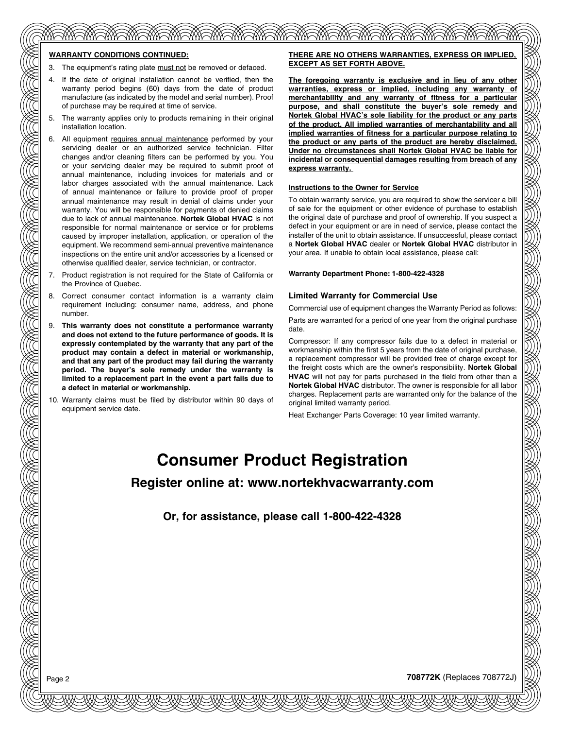#### **WARRANTY CONDITIONS CONTINUED:**

- 3. The equipment's rating plate must not be removed or defaced.
- 4. If the date of original installation cannot be verified, then the warranty period begins (60) days from the date of product manufacture (as indicated by the model and serial number). Proof of purchase may be required at time of service.
- The warranty applies only to products remaining in their original installation location.
- 6. All equipment requires annual maintenance performed by your servicing dealer or an authorized service technician. Filter changes and/or cleaning filters can be performed by you. You or your servicing dealer may be required to submit proof of annual maintenance, including invoices for materials and or labor charges associated with the annual maintenance. Lack of annual maintenance or failure to provide proof of proper annual maintenance may result in denial of claims under your warranty. You will be responsible for payments of denied claims due to lack of annual maintenance. **Nortek Global HVAC** is not responsible for normal maintenance or service or for problems caused by improper installation, application, or operation of the equipment. We recommend semi-annual preventive maintenance inspections on the entire unit and/or accessories by a licensed or otherwise qualified dealer, service technician, or contractor.
- 7. Product registration is not required for the State of California or the Province of Quebec.
- Correct consumer contact information is a warranty claim requirement including: consumer name, address, and phone number.
- 9. **This warranty does not constitute a performance warranty and does not extend to the future performance of goods. It is expressly contemplated by the warranty that any part of the product may contain a defect in material or workmanship, and that any part of the product may fail during the warranty period. The buyer's sole remedy under the warranty is limited to a replacement part in the event a part fails due to a defect in material or workmanship.**
- 10. Warranty claims must be filed by distributor within 90 days of equipment service date.

#### **THERE ARE NO OTHERS WARRANTIES, EXPRESS OR IMPLIED, EXCEPT AS SET FORTH ABOVE.**

**The foregoing warranty is exclusive and in lieu of any other warranties, express or implied, including any warranty of merchantability and any warranty of fitness for a particular purpose, and shall constitute the buyer's sole remedy and Nortek Global HVAC's sole liability for the product or any parts of the product. All implied warranties of merchantability and all implied warranties of fitness for a particular purpose relating to the product or any parts of the product are hereby disclaimed. Under no circumstances shall Nortek Global HVAC be liable for incidental or consequential damages resulting from breach of any express warranty.** 

#### **Instructions to the Owner for Service**

To obtain warranty service, you are required to show the servicer a bill of sale for the equipment or other evidence of purchase to establish the original date of purchase and proof of ownership. If you suspect a defect in your equipment or are in need of service, please contact the installer of the unit to obtain assistance. If unsuccessful, please contact a **Nortek Global HVAC** dealer or **Nortek Global HVAC** distributor in your area. If unable to obtain local assistance, please call:

**Warranty Department Phone: 1-800-422-4328**

#### **Limited Warranty for Commercial Use**

Commercial use of equipment changes the Warranty Period as follows:

Parts are warranted for a period of one year from the original purchase date.

Compressor: If any compressor fails due to a defect in material or workmanship within the first 5 years from the date of original purchase, a replacement compressor will be provided free of charge except for the freight costs which are the owner's responsibility. **Nortek Global HVAC** will not pay for parts purchased in the field from other than a **Nortek Global HVAC** distributor. The owner is responsible for all labor charges. Replacement parts are warranted only for the balance of the original limited warranty period.

Heat Exchanger Parts Coverage: 10 year limited warranty.

# **Consumer Product Registration**

**Register online at: www.nortekhvacwarranty.com**

**Or, for assistance, please call 1-800-422-4328**

Page 2 **708772K** (Replaces 708772J)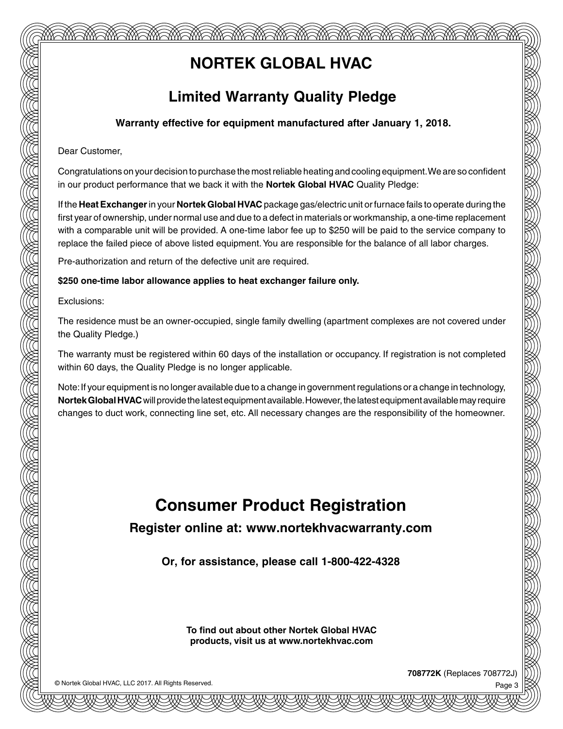# **NORTEK GLOBAL HVAC**

<u> MASA MGA MGA MGA MGA MGA MGA MGA MGA MG</u>

## **Limited Warranty Quality Pledge**

### **Warranty effective for equipment manufactured after January 1, 2018.**

Dear Customer,

Congratulations on your decision to purchase the most reliable heating and cooling equipment. We are so confident in our product performance that we back it with the **Nortek Global HVAC** Quality Pledge:

If the **Heat Exchanger** in your **Nortek Global HVAC** package gas/electric unit or furnace fails to operate during the first year of ownership, under normal use and due to a defect in materials or workmanship, a one-time replacement with a comparable unit will be provided. A one-time labor fee up to \$250 will be paid to the service company to replace the failed piece of above listed equipment. You are responsible for the balance of all labor charges.

Pre-authorization and return of the defective unit are required.

#### **\$250 one-time labor allowance applies to heat exchanger failure only.**

Exclusions:

The residence must be an owner-occupied, single family dwelling (apartment complexes are not covered under the Quality Pledge.)

The warranty must be registered within 60 days of the installation or occupancy. If registration is not completed within 60 days, the Quality Pledge is no longer applicable.

Note: If your equipment is no longer available due to a change in government regulations or a change in technology, **Nortek Global HVAC** will provide the latest equipment available. However, the latest equipment available may require changes to duct work, connecting line set, etc. All necessary changes are the responsibility of the homeowner.

# **Consumer Product Registration**

**Register online at: www.nortekhvacwarranty.com**

**Or, for assistance, please call 1-800-422-4328**

**To find out about other Nortek Global HVAC products, visit us at www.nortekhvac.com**

© Nortek Global HVAC, LLC 2017. All Rights Reserved.

**708772K** (Replaces 708772J)

Page 3